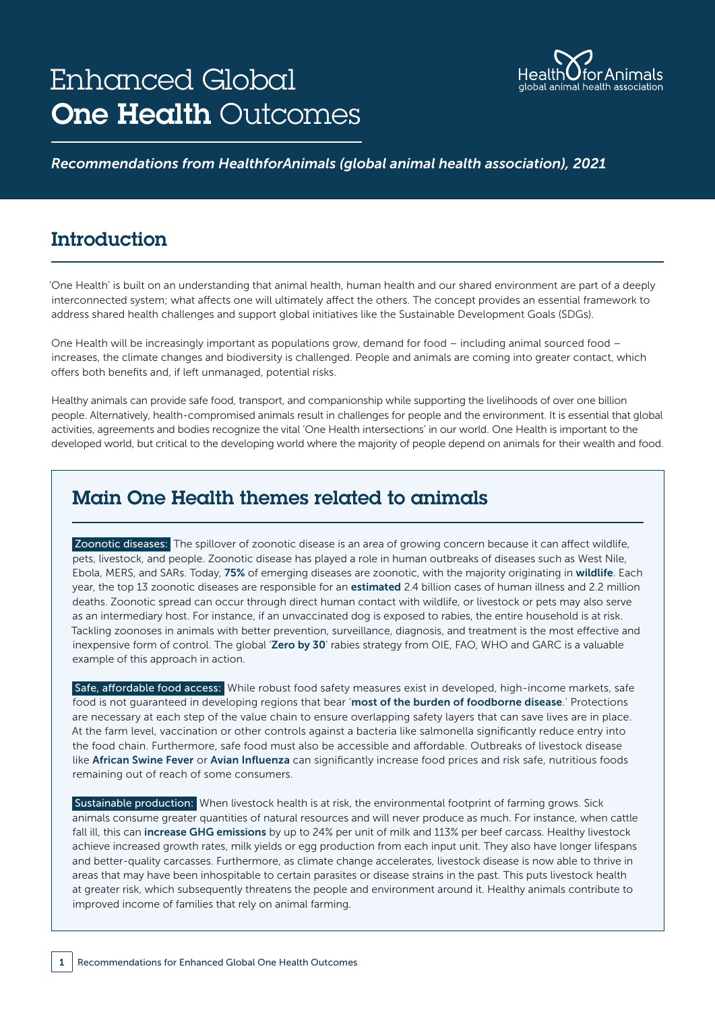# Enhanced Global **One Health Outcomes**



#### *Recommendations from HealthforAnimals (global animal health association), 2021*

# **Introduction**

'One Health' is built on an understanding that animal health, human health and our shared environment are part of a deeply interconnected system; what affects one will ultimately affect the others. The concept provides an essential framework to address shared health challenges and support global initiatives like the Sustainable Development Goals (SDGs).

One Health will be increasingly important as populations grow, demand for food – including animal sourced food – increases, the climate changes and biodiversity is challenged. People and animals are coming into greater contact, which offers both benefits and, if left unmanaged, potential risks.

Healthy animals can provide safe food, transport, and companionship while supporting the livelihoods of over one billion people. Alternatively, health-compromised animals result in challenges for people and the environment. It is essential that global activities, agreements and bodies recognize the vital 'One Health intersections' in our world. One Health is important to the developed world, but critical to the developing world where the majority of people depend on animals for their wealth and food.

# Main One Health themes related to animals

Zoonotic diseases: The spillover of zoonotic disease is an area of growing concern because it can affect wildlife, pets, livestock, and people. Zoonotic disease has played a role in human outbreaks of diseases such as West Nile, Ebola, MERS, and SARs. Today, [75%](https://www.cdc.gov/onehealth/basics/zoonotic-diseases.html) of emerging diseases are zoonotic, with the majority originating in [wildlife](https://www.nature.com/articles/nature06536). Each year, the top 13 zoonotic diseases are responsible for an [estimated](https://cgspace.cgiar.org/bitstream/handle/10568/21161/ZooMap_July2012_final.pdf?sequence=4) 2.4 billion cases of human illness and 2.2 million deaths. Zoonotic spread can occur through direct human contact with wildlife, or livestock or pets may also serve as an intermediary host. For instance, if an unvaccinated dog is exposed to rabies, the entire household is at risk. Tackling zoonoses in animals with better prevention, surveillance, diagnosis, and treatment is the most effective and inexpensive form of control. The global '[Zero by 30](https://rabiesalliance.org/resource/objectives-zero-30-global-strategic-plan-end-human-deaths-dog-mediated-rabies-2030)' rabies strategy from OIE, FAO, WHO and GARC is a valuable example of this approach in action.

Safe, affordable food access: While robust food safety measures exist in developed, high-income markets, safe food is not quaranteed in developing regions that bear '[most of the burden of foodborne disease](https://cgspace.cgiar.org/bitstream/handle/10568/68720/EoD_Learning_Resource_Food Safety_Oct2015.pdf).' Protections are necessary at each step of the value chain to ensure overlapping safety layers that can save lives are in place. At the farm level, vaccination or other controls against a bacteria like salmonella significantly reduce entry into the food chain. Furthermore, safe food must also be accessible and affordable. Outbreaks of livestock disease like [African Swine Fever](https://oiebulletin.com/?panorama=02-2-2-2020-1-economic) or [Avian Influenza](https://onlinelibrary.wiley.com/doi/full/10.1111/1467-8489.12387) can significantly increase food prices and risk safe, nutritious foods remaining out of reach of some consumers.

Sustainable production: When livestock health is at risk, the environmental footprint of farming grows. Sick animals consume greater quantities of natural resources and will never produce as much. For instance, when cattle fall ill, this can [increase GHG emissions](https://academic.oup.com/af/article/9/1/69/5173494) by up to 24% per unit of milk and 113% per beef carcass. Healthy livestock achieve increased growth rates, milk yields or egg production from each input unit. They also have longer lifespans and better-quality carcasses. Furthermore, as climate change accelerates, livestock disease is now able to thrive in areas that may have been inhospitable to certain parasites or disease strains in the past. This puts livestock health at greater risk, which subsequently threatens the people and environment around it. Healthy animals contribute to improved income of families that rely on animal farming.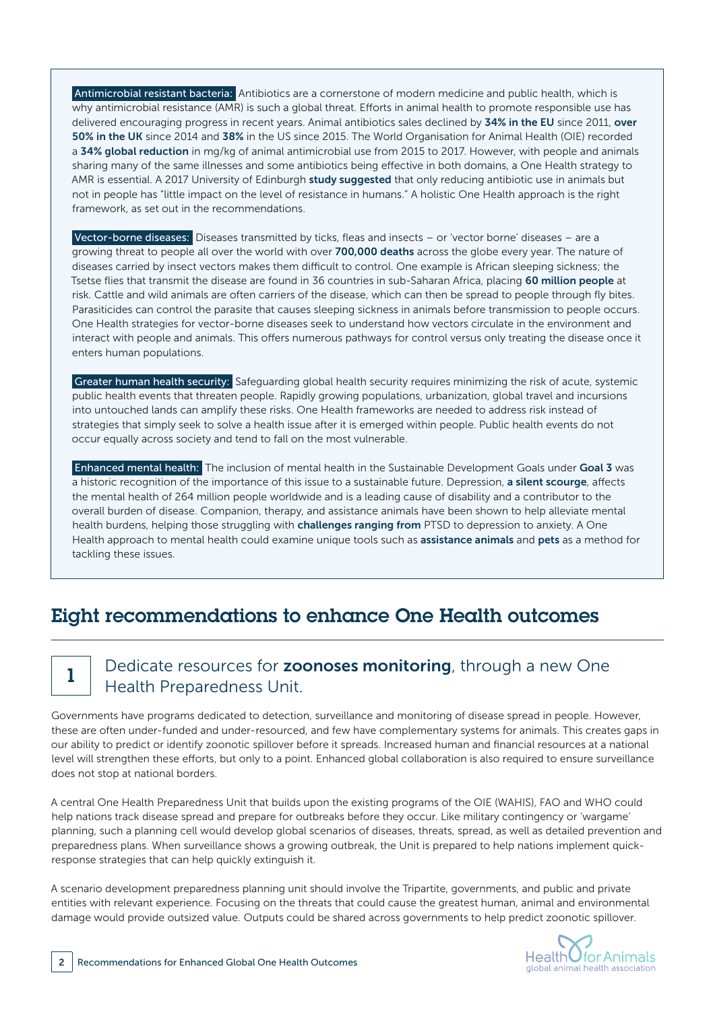Antimicrobial resistant bacteria: Antibiotics are a cornerstone of modern medicine and public health, which is why antimicrobial resistance (AMR) is such a global threat. Efforts in animal health to promote responsible use has delivered encouraging progress in recent years. Animal antibiotics sales declined by [34% in the EU](https://www.ema.europa.eu/en/documents/report/sales-veterinary-antimicrobial-agents-31-european-countries-2018-trends-2010-2018-tenth-esvac-report_en.pdf) since 2011, over [50% in the UK](https://assets.publishing.service.gov.uk/government/uploads/system/uploads/attachment_data/file/950129/UK-VARSS_Highlights_2019__2020-_TPaccessible.pdf) since 2014 and [38%](https://www.fda.gov/animal-veterinary/cvm-updates/fda-releases-annual-summary-report-antimicrobials-sold-or-distributed-2018-use-food-producing) in the US since 2015. The World Organisation for Animal Health (OIE) recorded a [34% global reduction](https://www.oie.int/en/document/fifth-oie-annual-report-on-antimicrobial-agents-intended-for-use-in-animals/) in mg/kg of animal antimicrobial use from 2015 to 2017. However, with people and animals sharing many of the same illnesses and some antibiotics being effective in both domains, a One Health strategy to AMR is essential. A 2017 University of Edinburgh [study suggested](https://www.ncbi.nlm.nih.gov/pmc/articles/PMC5414261/) that only reducing antibiotic use in animals but not in people has "little impact on the level of resistance in humans." A holistic One Health approach is the right framework, as set out in the recommendations.

Vector-borne diseases: Diseases transmitted by ticks, fleas and insects – or 'vector borne' diseases – are a growing threat to people all over the world with over [700,000 deaths](https://www.who.int/news-room/fact-sheets/detail/vector-borne-diseases) across the globe every year. The nature of diseases carried by insect vectors makes them difficult to control. One example is African sleeping sickness; the Tsetse flies that transmit the disease are found in 36 countries in sub-Saharan Africa, placing [60 million people](https://www.msf.org.uk/issues/sleeping-sickness?gclid=CJnAzaPIxNICFYZAGwodFikIiw) at risk. Cattle and wild animals are often carriers of the disease, which can then be spread to people through fly bites. Parasiticides can control the parasite that causes sleeping sickness in animals before transmission to people occurs. One Health strategies for vector-borne diseases seek to understand how vectors circulate in the environment and interact with people and animals. This offers numerous pathways for control versus only treating the disease once it enters human populations.

Greater human health security: Safeguarding global health security requires minimizing the risk of acute, systemic public health events that threaten people. Rapidly growing populations, urbanization, global travel and incursions into untouched lands can amplify these risks. One Health frameworks are needed to address risk instead of strategies that simply seek to solve a health issue after it is emerged within people. Public health events do not occur equally across society and tend to fall on the most vulnerable.

Enhanced mental health: The inclusion of mental health in the Sustainable Development Goals under [Goal 3](https://sdgs.un.org/goals/goal3) was a historic recognition of the importance of this issue to a sustainable future. Depression, [a silent scourge](https://www.who.int/news-room/fact-sheets/detail/depression), affects the mental health of 264 million people worldwide and is a leading cause of disability and a contributor to the overall burden of disease. Companion, therapy, and assistance animals have been shown to help alleviate mental health burdens, helping those struggling with **[challenges ranging from](https://habri.org/research/mental-health/conditions/)** PTSD to depression to anxiety. A One Health approach to mental health could examine unique tools such as [assistance animals](https://www.sciencedirect.com/science/article/abs/pii/S0195561608001940) and [pets](https://habri.org/research/mental-health/) as a method for tackling these issues.

# Eight recommendations to enhance One Health outcomes

### 1 Dedicate resources for **zoonoses monitoring**, through a new One Health Preparedness Unit.

Governments have programs dedicated to detection, surveillance and monitoring of disease spread in people. However, these are often under-funded and under-resourced, and few have complementary systems for animals. This creates gaps in our ability to predict or identify zoonotic spillover before it spreads. Increased human and financial resources at a national level will strengthen these efforts, but only to a point. Enhanced global collaboration is also required to ensure surveillance does not stop at national borders.

A central One Health Preparedness Unit that builds upon the existing programs of the OIE (WAHIS), FAO and WHO could help nations track disease spread and prepare for outbreaks before they occur. Like military contingency or 'wargame' planning, such a planning cell would develop global scenarios of diseases, threats, spread, as well as detailed prevention and preparedness plans. When surveillance shows a growing outbreak, the Unit is prepared to help nations implement quickresponse strategies that can help quickly extinguish it.

A scenario development preparedness planning unit should involve the Tripartite, governments, and public and private entities with relevant experience. Focusing on the threats that could cause the greatest human, animal and environmental damage would provide outsized value. Outputs could be shared across governments to help predict zoonotic spillover.

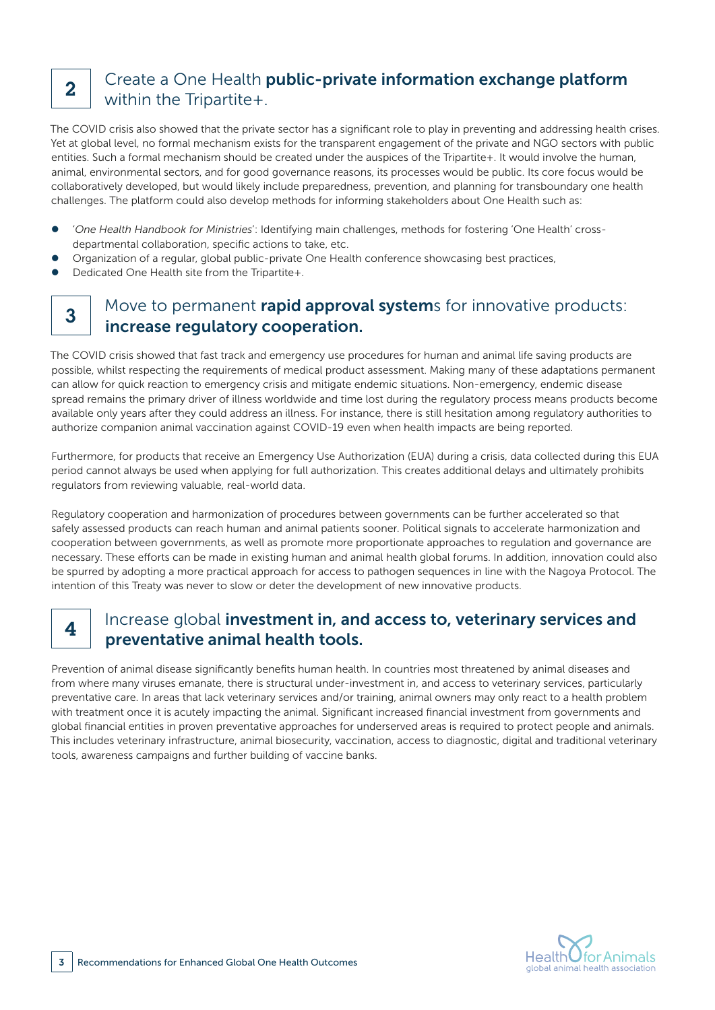# $2<sup>1</sup>$  Create a One Health public-private information exchange platform within the Tripartite+.

The COVID crisis also showed that the private sector has a significant role to play in preventing and addressing health crises. Yet at global level, no formal mechanism exists for the transparent engagement of the private and NGO sectors with public entities. Such a formal mechanism should be created under the auspices of the Tripartite+. It would involve the human, animal, environmental sectors, and for good governance reasons, its processes would be public. Its core focus would be collaboratively developed, but would likely include preparedness, prevention, and planning for transboundary one health challenges. The platform could also develop methods for informing stakeholders about One Health such as:

- **•** 'One Health Handbook for Ministries': Identifying main challenges, methods for fostering 'One Health' crossdepartmental collaboration, specific actions to take, etc.
- Organization of a regular, global public-private One Health conference showcasing best practices,
- Dedicated One Health site from the Tripartite+.

### 3 Move to permanent rapid approval systems for innovative products: increase regulatory cooperation.

The COVID crisis showed that fast track and emergency use procedures for human and animal life saving products are possible, whilst respecting the requirements of medical product assessment. Making many of these adaptations permanent can allow for quick reaction to emergency crisis and mitigate endemic situations. Non-emergency, endemic disease spread remains the primary driver of illness worldwide and time lost during the regulatory process means products become available only years after they could address an illness. For instance, there is still hesitation among regulatory authorities to authorize companion animal vaccination against COVID-19 even when health impacts are being reported.

Furthermore, for products that receive an Emergency Use Authorization (EUA) during a crisis, data collected during this EUA period cannot always be used when applying for full authorization. This creates additional delays and ultimately prohibits regulators from reviewing valuable, real-world data.

Regulatory cooperation and harmonization of procedures between governments can be further accelerated so that safely assessed products can reach human and animal patients sooner. Political signals to accelerate harmonization and cooperation between governments, as well as promote more proportionate approaches to regulation and governance are necessary. These efforts can be made in existing human and animal health global forums. In addition, innovation could also be spurred by adopting a more practical approach for access to pathogen sequences in line with the Nagoya Protocol. The intention of this Treaty was never to slow or deter the development of new innovative products.

### $4$  Increase global investment in, and access to, veterinary services and preventative animal health tools.

Prevention of animal disease significantly benefits human health. In countries most threatened by animal diseases and from where many viruses emanate, there is structural under-investment in, and access to veterinary services, particularly preventative care. In areas that lack veterinary services and/or training, animal owners may only react to a health problem with treatment once it is acutely impacting the animal. Significant increased financial investment from governments and global financial entities in proven preventative approaches for underserved areas is required to protect people and animals. This includes veterinary infrastructure, animal biosecurity, vaccination, access to diagnostic, digital and traditional veterinary tools, awareness campaigns and further building of vaccine banks.